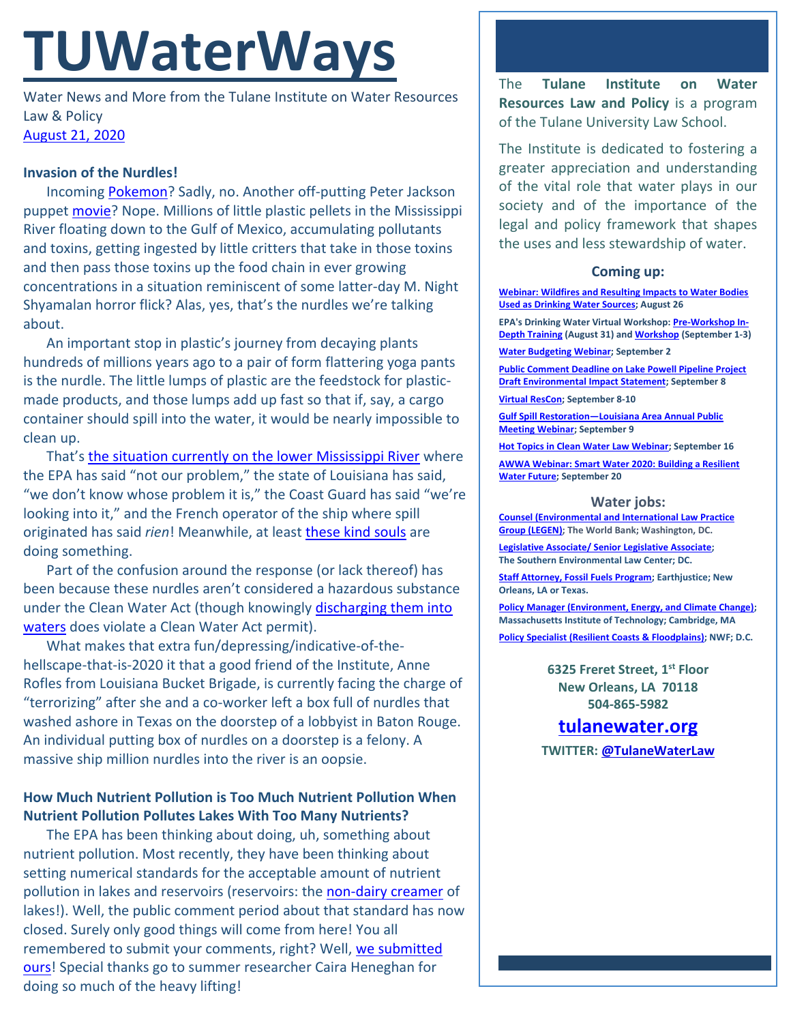# **TUWaterWays**

Water News and More from the Tulane Institute on Water Resources Law & Policy [August 21, 2020](https://thisdayinwaterhistory.wordpress.com/)

#### **Invasion of the Nurdles!**

Incomin[g Pokemon?](https://www.youtube.com/watch?v=__FYSw-PvOs) Sadly, no. Another off-putting Peter Jackson puppet [movie?](https://en.wikipedia.org/wiki/Meet_the_Feebles#/media/File:Meet_the_Feebles_Poster.jpg) Nope. Millions of little plastic pellets in the Mississippi River floating down to the Gulf of Mexico, accumulating pollutants and toxins, getting ingested by little critters that take in those toxins and then pass those toxins up the food chain in ever growing concentrations in a situation reminiscent of some latter-day M. Night Shyamalan horror flick? Alas, yes, that's the nurdles we're talking about.

An important stop in plastic's journey from decaying plants hundreds of millions years ago to a pair of form flattering yoga pants is the nurdle. The little lumps of plastic are the feedstock for plasticmade products, and those lumps add up fast so that if, say, a cargo container should spill into the water, it would be nearly impossible to clean up.

That's [the situation currently on the lower Mississippi River](https://www.nola.com/news/environment/article_b4fba760-e18d-11ea-9b0b-b3a2123cf48b.html) where the EPA has said "not our problem," the state of Louisiana has said, "we don't know whose problem it is," the Coast Guard has said "we're looking into it," and the French operator of the ship where spill originated has said rien! Meanwhile, at least [these kind](https://twitter.com/tristanbaurick/status/1296618281378426882) souls are doing something.

Part of the confusion around the response (or lack thereof) has been because these nurdles aren't considered a hazardous substance under the Clean Water Act (though knowingly [discharging them into](https://www.texastribune.org/2019/10/15/formosa-plastics-pay-50-million-texas-clean-water-act-lawsuit/)  [waters](https://www.texastribune.org/2019/10/15/formosa-plastics-pay-50-million-texas-clean-water-act-lawsuit/) does violate a Clean Water Act permit).

What makes that extra fun/depressing/indicative-of-thehellscape-that-is-2020 it that a good friend of the Institute, Anne Rofles from Louisiana Bucket Brigade, is currently facing the charge of "terrorizing" after she and a co-worker left a box full of nurdles that washed ashore in Texas on the doorstep of a lobbyist in Baton Rouge. An individual putting box of nurdles on a doorstep is a felony. A massive ship million nurdles into the river is an oopsie.

### **How Much Nutrient Pollution is Too Much Nutrient Pollution When Nutrient Pollution Pollutes Lakes With Too Many Nutrients?**

The EPA has been thinking about doing, uh, something about nutrient pollution. Most recently, they have been thinking about setting numerical standards for the acceptable amount of nutrient pollution in lakes and reservoirs (reservoirs: the [non-dairy creamer](https://www.youtube.com/watch?v=yRw4ZRqmxOc) of lakes!). Well, the public comment period about that standard has now closed. Surely only good things will come from here! You all remembered to submit your comments, right? Well, [we submitted](https://a21005ea-f0f0-4cff-a527-7c658373c740.filesusr.com/ugd/32079b_c04a356476394ac1936b1993bd367a06.pdf)  [ours!](https://a21005ea-f0f0-4cff-a527-7c658373c740.filesusr.com/ugd/32079b_c04a356476394ac1936b1993bd367a06.pdf) Special thanks go to summer researcher Caira Heneghan for doing so much of the heavy lifting!

The **Tulane Institute on Water Resources Law and Policy** is a program of the Tulane University Law School.

The Institute is dedicated to fostering a greater appreciation and understanding of the vital role that water plays in our society and of the importance of the legal and policy framework that shapes the uses and less stewardship of water.

#### **Coming up:**

**[Webinar: Wildfires and Resulting Impacts to Water Bodies](https://www.epa.gov/water-research/water-research-webinar-series)  [Used as Drinking Water Sources;](https://www.epa.gov/water-research/water-research-webinar-series) August 26**

**EPA's Drinking Water Virtual Workshop[: Pre-Workshop In-](https://www.epa.gov/water-research/small-systems-monthly-webinar-series)[Depth Training](https://www.epa.gov/water-research/small-systems-monthly-webinar-series) (August 31) an[d Workshop](https://www.epa.gov/water-research/17th-annual-epa-drinking-water-workshop) (September 1-3)**

**[Water Budgeting Webinar;](https://internetofwater.org/events/water-budgeting/) September 2**

**[Public Comment Deadline on Lake Powell Pipeline Project](https://www.usbr.gov/newsroom/newsrelease/detail.cfm?RecordID=71204)  [Draft Environmental Impact Statement;](https://www.usbr.gov/newsroom/newsrelease/detail.cfm?RecordID=71204) September 8**

**[Virtual ResCon;](http://hosted.verticalresponse.com/1048941/34301fae2e/522457719/aa4360793b/) September 8-10**

**Gulf Spill Restoration—[Louisiana Area Annual Public](https://www.gulfspillrestoration.noaa.gov/2020/08/register-september-9-louisiana-annual-public-meeting-webinar?utm_medium=email&utm_source=govdelivery)  [Meeting Webinar;](https://www.gulfspillrestoration.noaa.gov/2020/08/register-september-9-louisiana-annual-public-meeting-webinar?utm_medium=email&utm_source=govdelivery) September 9**

**[Hot Topics in Clean Water Law Webinar;](https://www.nacwa.org/conferences-events/forums-workshops-seminars-executive-education/hot-topics-in-clean-water-law-webinar) September 16 [AWWA Webinar: Smart Water 2020: Building a Resilient](https://www.awwa.org/Events/AWWA-Events-Calendar/Meeting-Details?productId=814212%2088)  [Water Future;](https://www.awwa.org/Events/AWWA-Events-Calendar/Meeting-Details?productId=814212%2088) September 20**

#### **Water jobs:**

**[Counsel \(Environmental and International Law Practice](https://worldbankgroup.csod.com/ats/careersite/JobDetails.aspx?id=8275&site=1)  [Group \(LEGEN\);](https://worldbankgroup.csod.com/ats/careersite/JobDetails.aspx?id=8275&site=1) The World Bank; Washington, DC.**

**[Legislative Associate/ Senior Legislative Associate;](https://www.southernenvironment.org/about-selc/careers/open-positions/legislative-associate-senior-legislative-associate) The Southern Environmental Law Center; DC.**

**[Staff Attorney, Fossil Fuels Program;](https://jobs.jobvite.com/earthjustice/job/ogmUcfws?nl=1) Earthjustice; New Orleans, LA or Texas.**

**[Policy Manager \(Environment, Energy, and Climate Change\);](https://careers.peopleclick.com/careerscp/client_mit/external/en-us/gateway/viewFromLink.html?jobPostId=18879&localeCode=en-US) Massachusetts Institute of Technology; Cambridge, MA**

**[Policy Specialist \(Resilient Coasts &](https://recruiting.ultipro.com/NAT1047NWF/JobBoard/1ca8346a-33cc-401d-90d9-d7f752fdfd7d/OpportunityDetail?opportunityId=0b0963b4-14c4-44be-9f24-59b9e6b20714&sourceId=993f40fc-778b-4ea4-965d-1b16a1d5a1c8) Floodplains); NWF; D.C.**

**6325 Freret Street, 1st Floor New Orleans, LA 70118 504-865-5982**

## **[tulanewater.org](file:///C:/Users/waterlaw/Downloads/tulanewater.org)**

**TWITTER[: @TulaneWaterLaw](http://www.twitter.com/TulaneWaterLaw)**